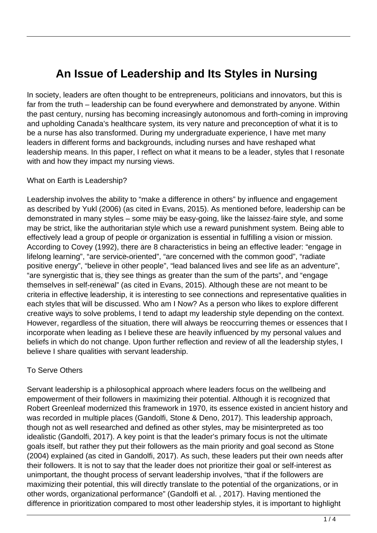# **An Issue of Leadership and Its Styles in Nursing**

In society, leaders are often thought to be entrepreneurs, politicians and innovators, but this is far from the truth – leadership can be found everywhere and demonstrated by anyone. Within the past century, nursing has becoming increasingly autonomous and forth-coming in improving and upholding Canada's healthcare system, its very nature and preconception of what it is to be a nurse has also transformed. During my undergraduate experience, I have met many leaders in different forms and backgrounds, including nurses and have reshaped what leadership means. In this paper, I reflect on what it means to be a leader, styles that I resonate with and how they impact my nursing views.

#### What on Earth is Leadership?

Leadership involves the ability to "make a difference in others" by influence and engagement as described by Yukl (2006) (as cited in Evans, 2015). As mentioned before, leadership can be demonstrated in many styles – some may be easy-going, like the laissez-faire style, and some may be strict, like the authoritarian style which use a reward punishment system. Being able to effectively lead a group of people or organization is essential in fulfilling a vision or mission. According to Covey (1992), there are 8 characteristics in being an effective leader: "engage in lifelong learning", "are service-oriented", "are concerned with the common good", "radiate positive energy", "believe in other people", "lead balanced lives and see life as an adventure", "are synergistic that is, they see things as greater than the sum of the parts", and "engage themselves in self-renewal" (as cited in Evans, 2015). Although these are not meant to be criteria in effective leadership, it is interesting to see connections and representative qualities in each styles that will be discussed. Who am I Now? As a person who likes to explore different creative ways to solve problems, I tend to adapt my leadership style depending on the context. However, regardless of the situation, there will always be reoccurring themes or essences that I incorporate when leading as I believe these are heavily influenced by my personal values and beliefs in which do not change. Upon further reflection and review of all the leadership styles, I believe I share qualities with servant leadership. ed in many styles – some may be<br>ict, like the authoritarian style while<br>lead a group of people or organizato<br>Covey (1992), there are 8 char<br>urning", "are service-oriented", "are<br>lergy", "believe in other people", "l<br>gistic

### To Serve Others

Servant leadership is a philosophical approach where leaders focus on the wellbeing and empowerment of their followers in maximizing their potential. Although it is recognized that Robert Greenleaf modernized this framework in 1970, its essence existed in ancient history and was recorded in multiple places (Gandolfi, Stone & Deno, 2017). This leadership approach, though not as well researched and defined as other styles, may be misinterpreted as too idealistic (Gandolfi, 2017). A key point is that the leader's primary focus is not the ultimate goals itself, but rather they put their followers as the main priority and goal second as Stone (2004) explained (as cited in Gandolfi, 2017). As such, these leaders put their own needs after their followers. It is not to say that the leader does not prioritize their goal or self-interest as unimportant, the thought process of servant leadership involves, "that if the followers are maximizing their potential, this will directly translate to the potential of the organizations, or in other words, organizational performance" (Gandolfi et al. , 2017). Having mentioned the difference in prioritization compared to most other leadership styles, it is important to highlight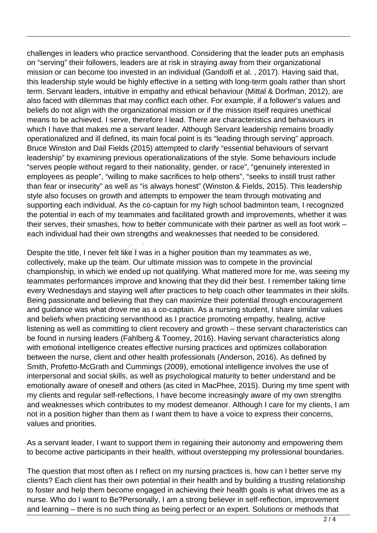challenges in leaders who practice servanthood. Considering that the leader puts an emphasis on "serving" their followers, leaders are at risk in straying away from their organizational mission or can become too invested in an individual (Gandolfi et al. , 2017). Having said that, this leadership style would be highly effective in a setting with long-term goals rather than short term. Servant leaders, intuitive in empathy and ethical behaviour (Mittal & Dorfman, 2012), are also faced with dilemmas that may conflict each other. For example, if a follower's values and beliefs do not align with the organizational mission or if the mission itself requires unethical means to be achieved. I serve, therefore I lead. There are characteristics and behaviours in which I have that makes me a servant leader. Although Servant leadership remains broadly operationalized and ill defined, its main focal point is its "leading through serving" approach. Bruce Winston and Dail Fields (2015) attempted to clarify "essential behaviours of servant leadership" by examining previous operationalizations of the style. Some behaviours include "serves people without regard to their nationality, gender, or race", "genuinely interested in employees as people", "willing to make sacrifices to help others", "seeks to instill trust rather than fear or insecurity" as well as "is always honest" (Winston & Fields, 2015). This leadership style also focuses on growth and attempts to empower the team through motivating and supporting each individual. As the co-captain for my high school badminton team, I recognized the potential in each of my teammates and facilitated growth and improvements, whether it was their serves, their smashes, how to better communicate with their partner as well as foot work – each individual had their own strengths and weaknesses that needed to be considered.

Despite the title, I never felt like I was in a higher position than my teammates as we, collectively, make up the team. Our ultimate mission was to compete in the provincial championship, in which we ended up not qualifying. What mattered more for me, was seeing my teammates performances improve and knowing that they did their best. I remember taking time every Wednesdays and staying well after practices to help coach other teammates in their skills. Being passionate and believing that they can maximize their potential through encouragement and guidance was what drove me as a co-captain. As a nursing student, I share similar values and beliefs when practicing servanthood as I practice promoting empathy, healing, active listening as well as committing to client recovery and growth – these servant characteristics can be found in nursing leaders (Fahlberg & Toomey, 2016). Having servant characteristics along with emotional intelligence creates effective nursing practices and optimizes collaboration between the nurse, client and other health professionals (Anderson, 2016). As defined by Smith, Profetto-McGrath and Cummings (2009), emotional intelligence involves the use of interpersonal and social skills, as well as psychological maturity to better understand and be emotionally aware of oneself and others (as cited in MacPhee, 2015). During my time spent with my clients and regular self-reflections, I have become increasingly aware of my own strengths and weaknesses which contributes to my modest demeanor. Although I care for my clients, I am not in a position higher than them as I want them to have a voice to express their concerns, values and priorities. al in each of my teammates and fis, their smashes, how to better co<br>idual had their own strengths and<br>e title, I never felt like I was in a hi<br>e title, I never felt like I was in a hi<br>e title, I never felt like I was in a

As a servant leader, I want to support them in regaining their autonomy and empowering them to become active participants in their health, without overstepping my professional boundaries.

The question that most often as I reflect on my nursing practices is, how can I better serve my clients? Each client has their own potential in their health and by building a trusting relationship to foster and help them become engaged in achieving their health goals is what drives me as a nurse. Who do I want to Be?Personally, I am a strong believer in self-reflection, improvement and learning – there is no such thing as being perfect or an expert. Solutions or methods that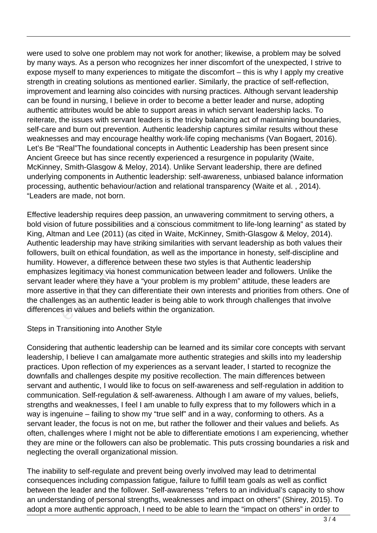were used to solve one problem may not work for another; likewise, a problem may be solved by many ways. As a person who recognizes her inner discomfort of the unexpected, I strive to expose myself to many experiences to mitigate the discomfort – this is why I apply my creative strength in creating solutions as mentioned earlier. Similarly, the practice of self-reflection, improvement and learning also coincides with nursing practices. Although servant leadership can be found in nursing, I believe in order to become a better leader and nurse, adopting authentic attributes would be able to support areas in which servant leadership lacks. To reiterate, the issues with servant leaders is the tricky balancing act of maintaining boundaries, self-care and burn out prevention. Authentic leadership captures similar results without these weaknesses and may encourage healthy work-life coping mechanisms (Van Bogaert, 2016). Let's Be "Real"The foundational concepts in Authentic Leadership has been present since Ancient Greece but has since recently experienced a resurgence in popularity (Waite, McKinney, Smith-Glasgow & Meloy, 2014). Unlike Servant leadership, there are defined underlying components in Authentic leadership: self-awareness, unbiased balance information processing, authentic behaviour/action and relational transparency (Waite et al. , 2014). "Leaders are made, not born.

Effective leadership requires deep passion, an unwavering commitment to serving others, a bold vision of future possibilities and a conscious commitment to life-long learning" as stated by King, Altman and Lee (2011) (as cited in Waite, McKinney, Smith-Glasgow & Meloy, 2014). Authentic leadership may have striking similarities with servant leadership as both values their followers, built on ethical foundation, as well as the importance in honesty, self-discipline and humility. However, a difference between these two styles is that Authentic leadership emphasizes legitimacy via honest communication between leader and followers. Unlike the servant leader where they have a "your problem is my problem" attitude, these leaders are more assertive in that they can differentiate their own interests and priorities from others. One of the challenges as an authentic leader is being able to work through challenges that involve differences in values and beliefs within the organization. eadership requires deep passion, and future possibilities and a consotion and Lee (2011) (as cited in Wateadership may have striking similarities built on ethical foundation, as well owever, a difference between the selegi

#### Steps in Transitioning into Another Style

Considering that authentic leadership can be learned and its similar core concepts with servant leadership, I believe I can amalgamate more authentic strategies and skills into my leadership practices. Upon reflection of my experiences as a servant leader, I started to recognize the downfalls and challenges despite my positive recollection. The main differences between servant and authentic, I would like to focus on self-awareness and self-regulation in addition to communication. Self-regulation & self-awareness. Although I am aware of my values, beliefs, strengths and weaknesses, I feel I am unable to fully express that to my followers which in a way is ingenuine – failing to show my "true self" and in a way, conforming to others. As a servant leader, the focus is not on me, but rather the follower and their values and beliefs. As often, challenges where I might not be able to differentiate emotions I am experiencing, whether they are mine or the followers can also be problematic. This puts crossing boundaries a risk and neglecting the overall organizational mission.

The inability to self-regulate and prevent being overly involved may lead to detrimental consequences including compassion fatigue, failure to fulfill team goals as well as conflict between the leader and the follower. Self-awareness "refers to an individual's capacity to show an understanding of personal strengths, weaknesses and impact on others" (Shirey, 2015). To adopt a more authentic approach, I need to be able to learn the "impact on others" in order to